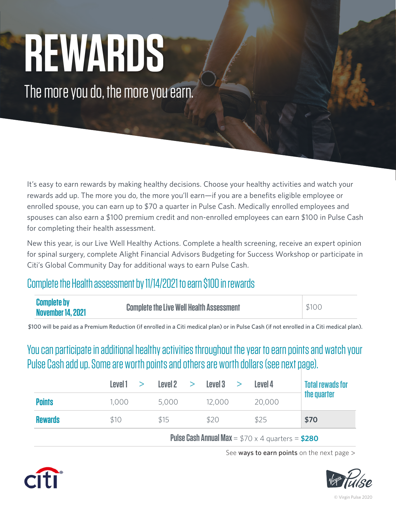# **REWARDS**

The more you do, the more you earn.

It's easy to earn rewards by making healthy decisions. Choose your healthy activities and watch your rewards add up. The more you do, the more you'll earn—if you are a benefits eligible employee or enrolled spouse, you can earn up to \$70 a quarter in Pulse Cash. Medically enrolled employees and spouses can also earn a \$100 premium credit and non-enrolled employees can earn \$100 in Pulse Cash for completing their health assessment.

New this year, is our Live Well Healthy Actions. Complete a health screening, receive an expert opinion for spinal surgery, complete Alight Financial Advisors Budgeting for Success Workshop or participate in Citi's Global Community Day for additional ways to earn Pulse Cash.

## Complete the Health assessment by 11/14/2021 to earn \$100 in rewards

| <b>Complete by</b><br><b>Complete the Live Well Health Assessment</b><br><b>November 14, 2021</b> | \$100 |
|---------------------------------------------------------------------------------------------------|-------|
|---------------------------------------------------------------------------------------------------|-------|

\$100 will be paid as a Premium Reduction (if enrolled in a Citi medical plan) or in Pulse Cash (if not enrolled in a Citi medical plan).

You can participate in additional healthy activities throughout the year to earn points and watch your Pulse Cash add up. Some are worth points and others are worth dollars (see next page).

|                | Level1 > |       | Level2 > Level3 > | Level 4 | <b>Total rewads for</b> |
|----------------|----------|-------|-------------------|---------|-------------------------|
| <b>Points</b>  | 1,000    | 5,000 | 12,000            | 20,000  | the quarter             |
| <b>Rewards</b> | \$10     | \$15  | \$20              | \$25    | \$70                    |

 **Pulse Cash Annual Max** =  $$70 \times 4$  quarters =  $$280$ 

See ways to earn points on the next page  $>$